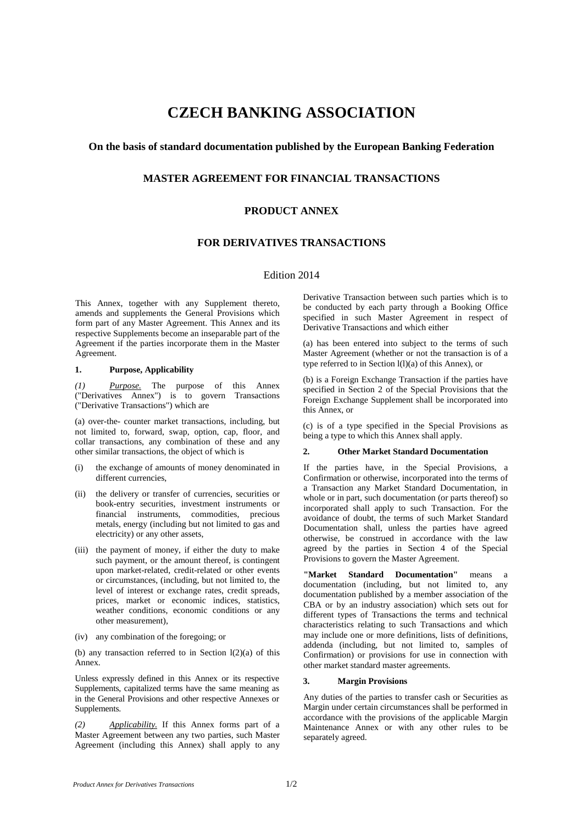# **CZECH BANKING ASSOCIATION**

## **On the basis of standard documentation published by the European Banking Federation**

## **MASTER AGREEMENT FOR FINANCIAL TRANSACTIONS**

# **PRODUCT ANNEX**

## **FOR DERIVATIVES TRANSACTIONS**

## Edition 2014

This Annex, together with any Supplement thereto, amends and supplements the General Provisions which form part of any Master Agreement. This Annex and its respective Supplements become an inseparable part of the Agreement if the parties incorporate them in the Master Agreement.

#### **1. Purpose, Applicability**

*(1) Purpose.* The purpose of this Annex ("Derivatives Annex") is to govern Transactions ("Derivative Transactions") which are

(a) over-the- counter market transactions, including, but not limited to, forward, swap, option, cap, floor, and collar transactions, any combination of these and any other similar transactions, the object of which is

- (i) the exchange of amounts of money denominated in different currencies,
- (ii) the delivery or transfer of currencies, securities or book-entry securities, investment instruments or financial instruments, commodities, precious metals, energy (including but not limited to gas and electricity) or any other assets,
- (iii) the payment of money, if either the duty to make such payment, or the amount thereof, is contingent upon market-related, credit-related or other events or circumstances, (including, but not limited to, the level of interest or exchange rates, credit spreads, prices, market or economic indices, statistics, weather conditions, economic conditions or any other measurement),
- (iv) any combination of the foregoing; or

(b) any transaction referred to in Section  $l(2)(a)$  of this Annex.

Unless expressly defined in this Annex or its respective Supplements, capitalized terms have the same meaning as in the General Provisions and other respective Annexes or Supplements.

*(2) Applicability.* If this Annex forms part of a Master Agreement between any two parties, such Master Agreement (including this Annex) shall apply to any

Derivative Transaction between such parties which is to be conducted by each party through a Booking Office specified in such Master Agreement in respect of Derivative Transactions and which either

(a) has been entered into subject to the terms of such Master Agreement (whether or not the transaction is of a type referred to in Section l(l)(a) of this Annex), or

(b) is a Foreign Exchange Transaction if the parties have specified in Section 2 of the Special Provisions that the Foreign Exchange Supplement shall be incorporated into this Annex, or

(c) is of a type specified in the Special Provisions as being a type to which this Annex shall apply.

### **2. Other Market Standard Documentation**

If the parties have, in the Special Provisions, a Confirmation or otherwise, incorporated into the terms of a Transaction any Market Standard Documentation, in whole or in part, such documentation (or parts thereof) so incorporated shall apply to such Transaction. For the avoidance of doubt, the terms of such Market Standard Documentation shall, unless the parties have agreed otherwise, be construed in accordance with the law agreed by the parties in Section 4 of the Special Provisions to govern the Master Agreement.

**"Market Standard Documentation"** means a documentation (including, but not limited to, any documentation published by a member association of the CBA or by an industry association) which sets out for different types of Transactions the terms and technical characteristics relating to such Transactions and which may include one or more definitions, lists of definitions, addenda (including, but not limited to, samples of Confirmation) or provisions for use in connection with other market standard master agreements.

### **3. Margin Provisions**

Any duties of the parties to transfer cash or Securities as Margin under certain circumstances shall be performed in accordance with the provisions of the applicable Margin Maintenance Annex or with any other rules to be separately agreed.